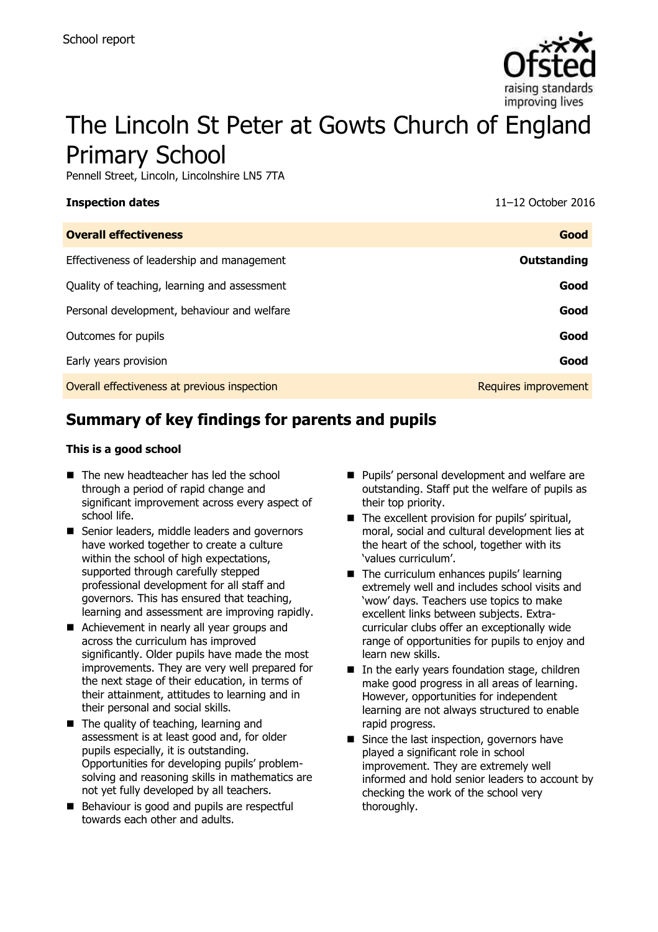

# The Lincoln St Peter at Gowts Church of England Primary School

Pennell Street, Lincoln, Lincolnshire LN5 7TA

**Inspection dates** 11–12 October 2016

| <b>Overall effectiveness</b>                 | Good                 |
|----------------------------------------------|----------------------|
| Effectiveness of leadership and management   | Outstanding          |
| Quality of teaching, learning and assessment | Good                 |
| Personal development, behaviour and welfare  | Good                 |
| Outcomes for pupils                          | Good                 |
| Early years provision                        | Good                 |
| Overall effectiveness at previous inspection | Requires improvement |
|                                              |                      |

# **Summary of key findings for parents and pupils**

#### **This is a good school**

- The new headteacher has led the school through a period of rapid change and significant improvement across every aspect of school life.
- Senior leaders, middle leaders and governors have worked together to create a culture within the school of high expectations, supported through carefully stepped professional development for all staff and governors. This has ensured that teaching, learning and assessment are improving rapidly.
- Achievement in nearly all year groups and across the curriculum has improved significantly. Older pupils have made the most improvements. They are very well prepared for the next stage of their education, in terms of their attainment, attitudes to learning and in their personal and social skills.
- The quality of teaching, learning and assessment is at least good and, for older pupils especially, it is outstanding. Opportunities for developing pupils' problemsolving and reasoning skills in mathematics are not yet fully developed by all teachers.
- Behaviour is good and pupils are respectful towards each other and adults.
- **Pupils' personal development and welfare are** outstanding. Staff put the welfare of pupils as their top priority.
- The excellent provision for pupils' spiritual, moral, social and cultural development lies at the heart of the school, together with its 'values curriculum'.
- The curriculum enhances pupils' learning extremely well and includes school visits and 'wow' days. Teachers use topics to make excellent links between subjects. Extracurricular clubs offer an exceptionally wide range of opportunities for pupils to enjoy and learn new skills.
- $\blacksquare$  In the early years foundation stage, children make good progress in all areas of learning. However, opportunities for independent learning are not always structured to enable rapid progress.
- Since the last inspection, governors have played a significant role in school improvement. They are extremely well informed and hold senior leaders to account by checking the work of the school very thoroughly.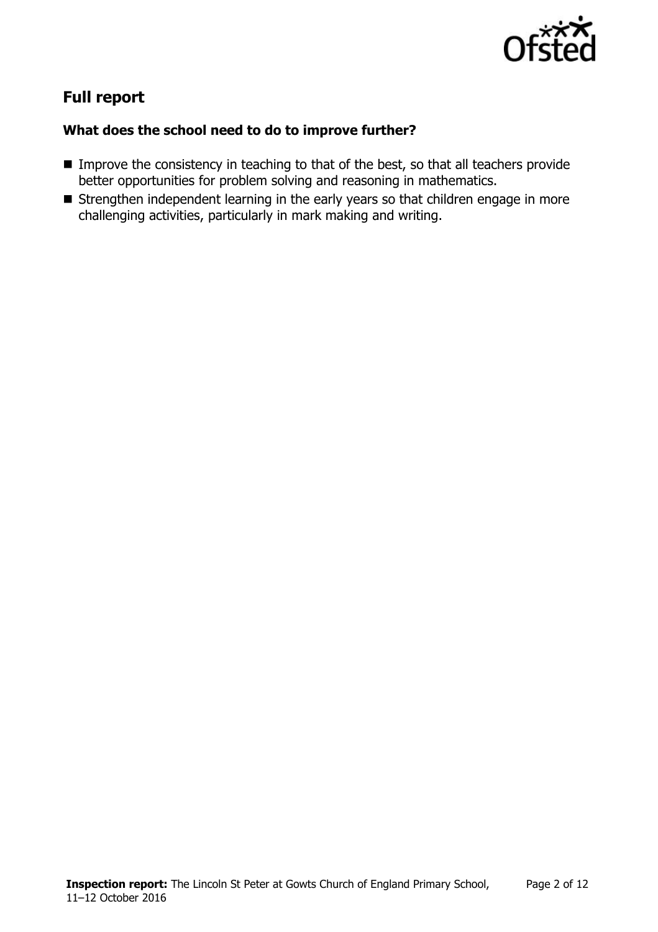

# **Full report**

#### **What does the school need to do to improve further?**

- Improve the consistency in teaching to that of the best, so that all teachers provide better opportunities for problem solving and reasoning in mathematics.
- Strengthen independent learning in the early years so that children engage in more challenging activities, particularly in mark making and writing.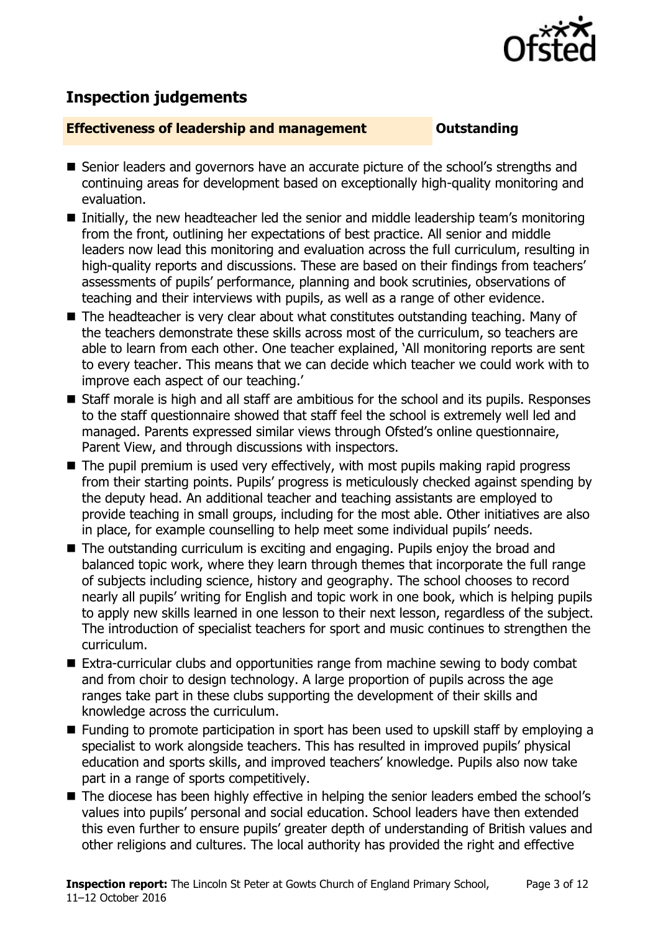

# **Inspection judgements**

#### **Effectiveness of leadership and management Outstanding**

- Senior leaders and governors have an accurate picture of the school's strengths and continuing areas for development based on exceptionally high-quality monitoring and evaluation.
- Initially, the new headteacher led the senior and middle leadership team's monitoring from the front, outlining her expectations of best practice. All senior and middle leaders now lead this monitoring and evaluation across the full curriculum, resulting in high-quality reports and discussions. These are based on their findings from teachers' assessments of pupils' performance, planning and book scrutinies, observations of teaching and their interviews with pupils, as well as a range of other evidence.
- The headteacher is very clear about what constitutes outstanding teaching. Many of the teachers demonstrate these skills across most of the curriculum, so teachers are able to learn from each other. One teacher explained, 'All monitoring reports are sent to every teacher. This means that we can decide which teacher we could work with to improve each aspect of our teaching.'
- Staff morale is high and all staff are ambitious for the school and its pupils. Responses to the staff questionnaire showed that staff feel the school is extremely well led and managed. Parents expressed similar views through Ofsted's online questionnaire, Parent View, and through discussions with inspectors.
- The pupil premium is used very effectively, with most pupils making rapid progress from their starting points. Pupils' progress is meticulously checked against spending by the deputy head. An additional teacher and teaching assistants are employed to provide teaching in small groups, including for the most able. Other initiatives are also in place, for example counselling to help meet some individual pupils' needs.
- The outstanding curriculum is exciting and engaging. Pupils enjoy the broad and balanced topic work, where they learn through themes that incorporate the full range of subjects including science, history and geography. The school chooses to record nearly all pupils' writing for English and topic work in one book, which is helping pupils to apply new skills learned in one lesson to their next lesson, regardless of the subject. The introduction of specialist teachers for sport and music continues to strengthen the curriculum.
- Extra-curricular clubs and opportunities range from machine sewing to body combat and from choir to design technology. A large proportion of pupils across the age ranges take part in these clubs supporting the development of their skills and knowledge across the curriculum.
- Funding to promote participation in sport has been used to upskill staff by employing a specialist to work alongside teachers. This has resulted in improved pupils' physical education and sports skills, and improved teachers' knowledge. Pupils also now take part in a range of sports competitively.
- The diocese has been highly effective in helping the senior leaders embed the school's values into pupils' personal and social education. School leaders have then extended this even further to ensure pupils' greater depth of understanding of British values and other religions and cultures. The local authority has provided the right and effective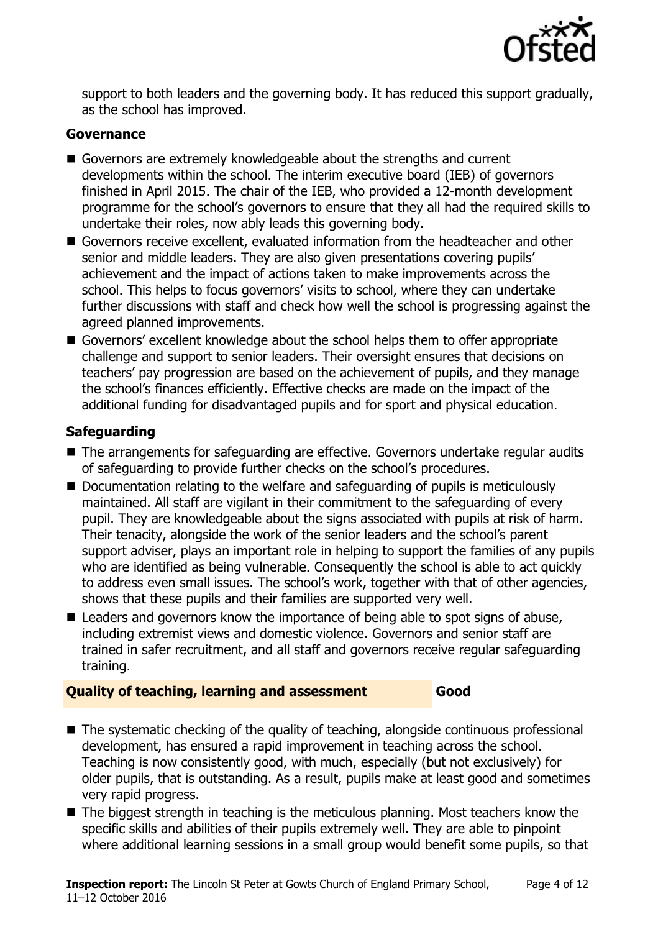

support to both leaders and the governing body. It has reduced this support gradually, as the school has improved.

#### **Governance**

- Governors are extremely knowledgeable about the strengths and current developments within the school. The interim executive board (IEB) of governors finished in April 2015. The chair of the IEB, who provided a 12-month development programme for the school's governors to ensure that they all had the required skills to undertake their roles, now ably leads this governing body.
- Governors receive excellent, evaluated information from the headteacher and other senior and middle leaders. They are also given presentations covering pupils' achievement and the impact of actions taken to make improvements across the school. This helps to focus governors' visits to school, where they can undertake further discussions with staff and check how well the school is progressing against the agreed planned improvements.
- Governors' excellent knowledge about the school helps them to offer appropriate challenge and support to senior leaders. Their oversight ensures that decisions on teachers' pay progression are based on the achievement of pupils, and they manage the school's finances efficiently. Effective checks are made on the impact of the additional funding for disadvantaged pupils and for sport and physical education.

### **Safeguarding**

- The arrangements for safeguarding are effective. Governors undertake regular audits of safeguarding to provide further checks on the school's procedures.
- Documentation relating to the welfare and safeguarding of pupils is meticulously maintained. All staff are vigilant in their commitment to the safeguarding of every pupil. They are knowledgeable about the signs associated with pupils at risk of harm. Their tenacity, alongside the work of the senior leaders and the school's parent support adviser, plays an important role in helping to support the families of any pupils who are identified as being vulnerable. Consequently the school is able to act quickly to address even small issues. The school's work, together with that of other agencies, shows that these pupils and their families are supported very well.
- Leaders and governors know the importance of being able to spot signs of abuse, including extremist views and domestic violence. Governors and senior staff are trained in safer recruitment, and all staff and governors receive regular safeguarding training.

### **Quality of teaching, learning and assessment Good**

- The systematic checking of the quality of teaching, alongside continuous professional development, has ensured a rapid improvement in teaching across the school. Teaching is now consistently good, with much, especially (but not exclusively) for older pupils, that is outstanding. As a result, pupils make at least good and sometimes very rapid progress.
- The biggest strength in teaching is the meticulous planning. Most teachers know the specific skills and abilities of their pupils extremely well. They are able to pinpoint where additional learning sessions in a small group would benefit some pupils, so that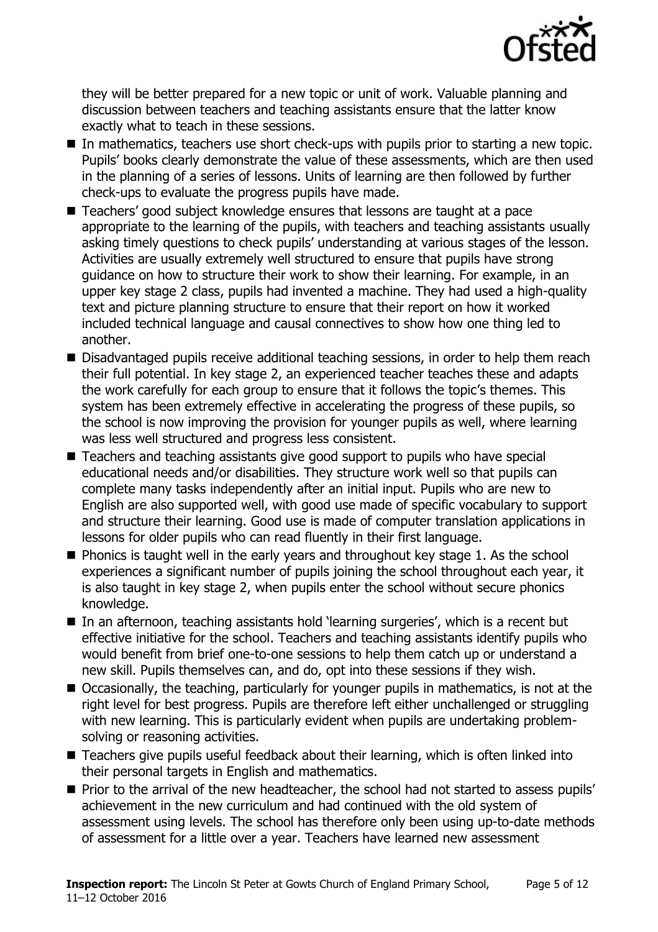

they will be better prepared for a new topic or unit of work. Valuable planning and discussion between teachers and teaching assistants ensure that the latter know exactly what to teach in these sessions.

- In mathematics, teachers use short check-ups with pupils prior to starting a new topic. Pupils' books clearly demonstrate the value of these assessments, which are then used in the planning of a series of lessons. Units of learning are then followed by further check-ups to evaluate the progress pupils have made.
- Teachers' good subject knowledge ensures that lessons are taught at a pace appropriate to the learning of the pupils, with teachers and teaching assistants usually asking timely questions to check pupils' understanding at various stages of the lesson. Activities are usually extremely well structured to ensure that pupils have strong guidance on how to structure their work to show their learning. For example, in an upper key stage 2 class, pupils had invented a machine. They had used a high-quality text and picture planning structure to ensure that their report on how it worked included technical language and causal connectives to show how one thing led to another.
- Disadvantaged pupils receive additional teaching sessions, in order to help them reach their full potential. In key stage 2, an experienced teacher teaches these and adapts the work carefully for each group to ensure that it follows the topic's themes. This system has been extremely effective in accelerating the progress of these pupils, so the school is now improving the provision for younger pupils as well, where learning was less well structured and progress less consistent.
- Teachers and teaching assistants give good support to pupils who have special educational needs and/or disabilities. They structure work well so that pupils can complete many tasks independently after an initial input. Pupils who are new to English are also supported well, with good use made of specific vocabulary to support and structure their learning. Good use is made of computer translation applications in lessons for older pupils who can read fluently in their first language.
- $\blacksquare$  Phonics is taught well in the early years and throughout key stage 1. As the school experiences a significant number of pupils joining the school throughout each year, it is also taught in key stage 2, when pupils enter the school without secure phonics knowledge.
- In an afternoon, teaching assistants hold 'learning surgeries', which is a recent but effective initiative for the school. Teachers and teaching assistants identify pupils who would benefit from brief one-to-one sessions to help them catch up or understand a new skill. Pupils themselves can, and do, opt into these sessions if they wish.
- Occasionally, the teaching, particularly for younger pupils in mathematics, is not at the right level for best progress. Pupils are therefore left either unchallenged or struggling with new learning. This is particularly evident when pupils are undertaking problemsolving or reasoning activities.
- Teachers give pupils useful feedback about their learning, which is often linked into their personal targets in English and mathematics.
- **Prior to the arrival of the new headteacher, the school had not started to assess pupils'** achievement in the new curriculum and had continued with the old system of assessment using levels. The school has therefore only been using up-to-date methods of assessment for a little over a year. Teachers have learned new assessment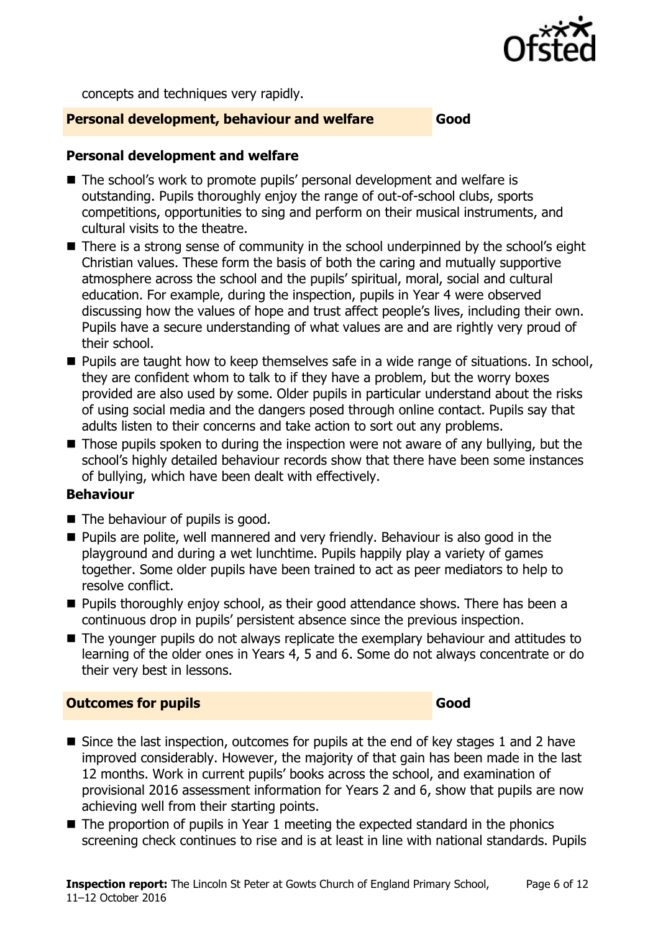

concepts and techniques very rapidly.

#### **Personal development, behaviour and welfare Good**

#### **Personal development and welfare**

- The school's work to promote pupils' personal development and welfare is outstanding. Pupils thoroughly enjoy the range of out-of-school clubs, sports competitions, opportunities to sing and perform on their musical instruments, and cultural visits to the theatre.
- There is a strong sense of community in the school underpinned by the school's eight Christian values. These form the basis of both the caring and mutually supportive atmosphere across the school and the pupils' spiritual, moral, social and cultural education. For example, during the inspection, pupils in Year 4 were observed discussing how the values of hope and trust affect people's lives, including their own. Pupils have a secure understanding of what values are and are rightly very proud of their school.
- **Pupils are taught how to keep themselves safe in a wide range of situations. In school,** they are confident whom to talk to if they have a problem, but the worry boxes provided are also used by some. Older pupils in particular understand about the risks of using social media and the dangers posed through online contact. Pupils say that adults listen to their concerns and take action to sort out any problems.
- Those pupils spoken to during the inspection were not aware of any bullying, but the school's highly detailed behaviour records show that there have been some instances of bullying, which have been dealt with effectively.

#### **Behaviour**

- $\blacksquare$  The behaviour of pupils is good.
- **Pupils are polite, well mannered and very friendly. Behaviour is also good in the** playground and during a wet lunchtime. Pupils happily play a variety of games together. Some older pupils have been trained to act as peer mediators to help to resolve conflict.
- $\blacksquare$  Pupils thoroughly enjoy school, as their good attendance shows. There has been a continuous drop in pupils' persistent absence since the previous inspection.
- The younger pupils do not always replicate the exemplary behaviour and attitudes to learning of the older ones in Years 4, 5 and 6. Some do not always concentrate or do their very best in lessons.

#### **Outcomes for pupils Good**

- $\blacksquare$  Since the last inspection, outcomes for pupils at the end of key stages 1 and 2 have improved considerably. However, the majority of that gain has been made in the last 12 months. Work in current pupils' books across the school, and examination of provisional 2016 assessment information for Years 2 and 6, show that pupils are now achieving well from their starting points.
- The proportion of pupils in Year 1 meeting the expected standard in the phonics screening check continues to rise and is at least in line with national standards. Pupils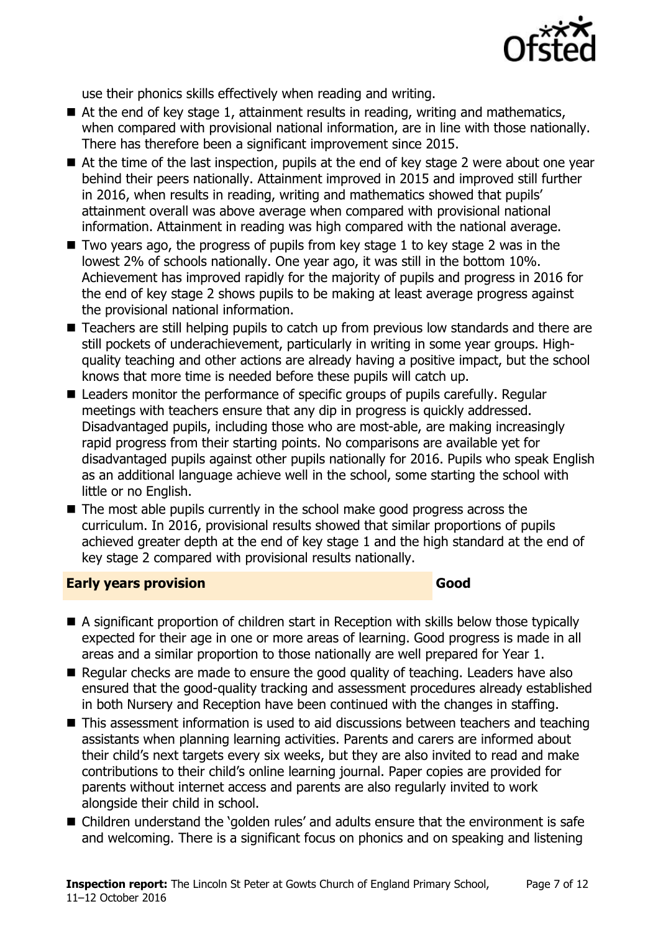

use their phonics skills effectively when reading and writing.

- At the end of key stage 1, attainment results in reading, writing and mathematics, when compared with provisional national information, are in line with those nationally. There has therefore been a significant improvement since 2015.
- At the time of the last inspection, pupils at the end of key stage 2 were about one year behind their peers nationally. Attainment improved in 2015 and improved still further in 2016, when results in reading, writing and mathematics showed that pupils' attainment overall was above average when compared with provisional national information. Attainment in reading was high compared with the national average.
- $\blacksquare$  Two years ago, the progress of pupils from key stage 1 to key stage 2 was in the lowest 2% of schools nationally. One year ago, it was still in the bottom 10%. Achievement has improved rapidly for the majority of pupils and progress in 2016 for the end of key stage 2 shows pupils to be making at least average progress against the provisional national information.
- Teachers are still helping pupils to catch up from previous low standards and there are still pockets of underachievement, particularly in writing in some year groups. Highquality teaching and other actions are already having a positive impact, but the school knows that more time is needed before these pupils will catch up.
- Leaders monitor the performance of specific groups of pupils carefully. Regular meetings with teachers ensure that any dip in progress is quickly addressed. Disadvantaged pupils, including those who are most-able, are making increasingly rapid progress from their starting points. No comparisons are available yet for disadvantaged pupils against other pupils nationally for 2016. Pupils who speak English as an additional language achieve well in the school, some starting the school with little or no English.
- The most able pupils currently in the school make good progress across the curriculum. In 2016, provisional results showed that similar proportions of pupils achieved greater depth at the end of key stage 1 and the high standard at the end of key stage 2 compared with provisional results nationally.

#### **Early years provision Good**

- A significant proportion of children start in Reception with skills below those typically expected for their age in one or more areas of learning. Good progress is made in all areas and a similar proportion to those nationally are well prepared for Year 1.
- Regular checks are made to ensure the good quality of teaching. Leaders have also ensured that the good-quality tracking and assessment procedures already established in both Nursery and Reception have been continued with the changes in staffing.
- This assessment information is used to aid discussions between teachers and teaching assistants when planning learning activities. Parents and carers are informed about their child's next targets every six weeks, but they are also invited to read and make contributions to their child's online learning journal. Paper copies are provided for parents without internet access and parents are also regularly invited to work alongside their child in school.
- Children understand the 'golden rules' and adults ensure that the environment is safe and welcoming. There is a significant focus on phonics and on speaking and listening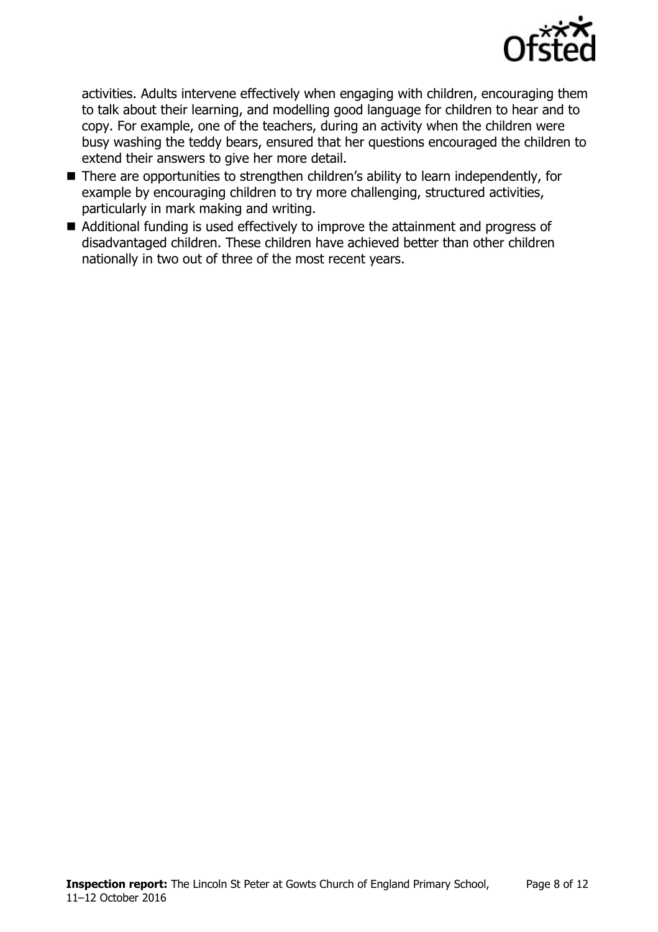

activities. Adults intervene effectively when engaging with children, encouraging them to talk about their learning, and modelling good language for children to hear and to copy. For example, one of the teachers, during an activity when the children were busy washing the teddy bears, ensured that her questions encouraged the children to extend their answers to give her more detail.

- There are opportunities to strengthen children's ability to learn independently, for example by encouraging children to try more challenging, structured activities, particularly in mark making and writing.
- Additional funding is used effectively to improve the attainment and progress of disadvantaged children. These children have achieved better than other children nationally in two out of three of the most recent years.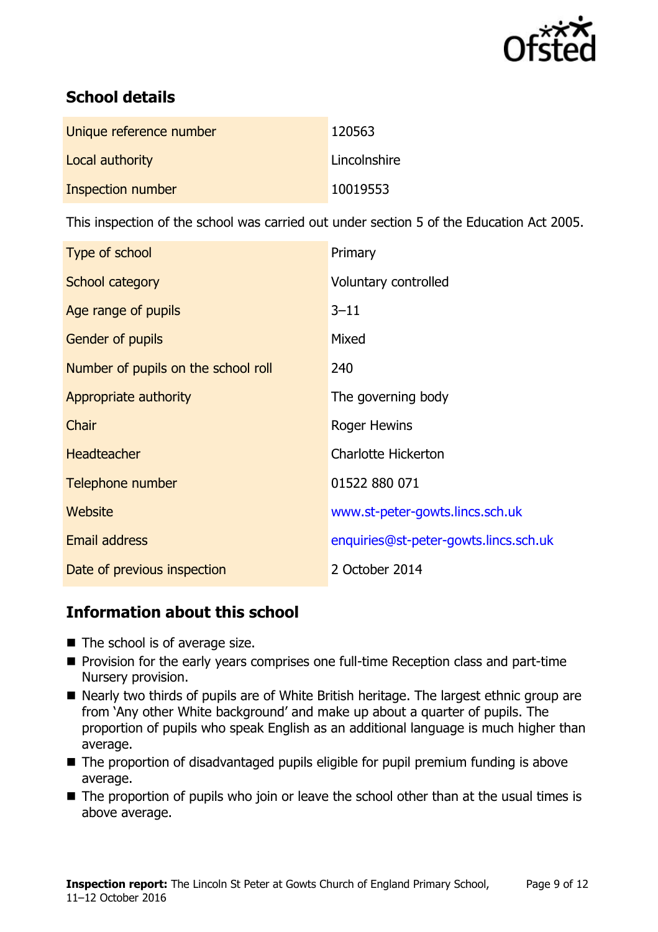

# **School details**

| Unique reference number | 120563       |
|-------------------------|--------------|
| Local authority         | Lincolnshire |
| Inspection number       | 10019553     |

This inspection of the school was carried out under section 5 of the Education Act 2005.

| Type of school                      | Primary                               |
|-------------------------------------|---------------------------------------|
| School category                     | Voluntary controlled                  |
| Age range of pupils                 | $3 - 11$                              |
| <b>Gender of pupils</b>             | Mixed                                 |
| Number of pupils on the school roll | 240                                   |
| Appropriate authority               | The governing body                    |
| Chair                               | Roger Hewins                          |
| <b>Headteacher</b>                  | <b>Charlotte Hickerton</b>            |
| Telephone number                    | 01522 880 071                         |
| Website                             | www.st-peter-gowts.lincs.sch.uk       |
| <b>Email address</b>                | enquiries@st-peter-gowts.lincs.sch.uk |
| Date of previous inspection         | 2 October 2014                        |

## **Information about this school**

- $\blacksquare$  The school is of average size.
- **Provision for the early years comprises one full-time Reception class and part-time** Nursery provision.
- Nearly two thirds of pupils are of White British heritage. The largest ethnic group are from 'Any other White background' and make up about a quarter of pupils. The proportion of pupils who speak English as an additional language is much higher than average.
- The proportion of disadvantaged pupils eligible for pupil premium funding is above average.
- The proportion of pupils who join or leave the school other than at the usual times is above average.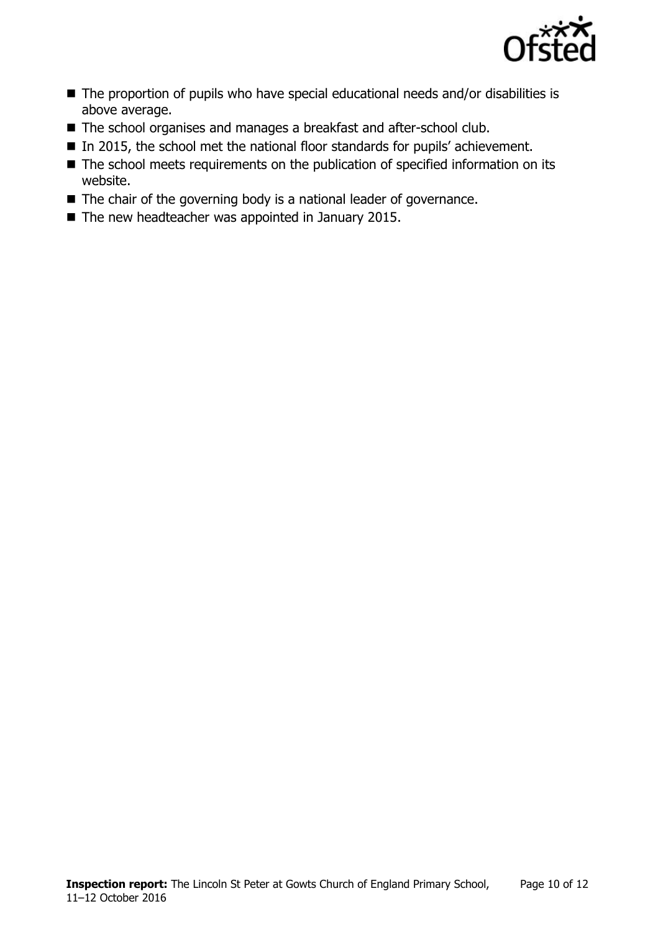

- The proportion of pupils who have special educational needs and/or disabilities is above average.
- The school organises and manages a breakfast and after-school club.
- In 2015, the school met the national floor standards for pupils' achievement.
- The school meets requirements on the publication of specified information on its website.
- The chair of the governing body is a national leader of governance.
- The new headteacher was appointed in January 2015.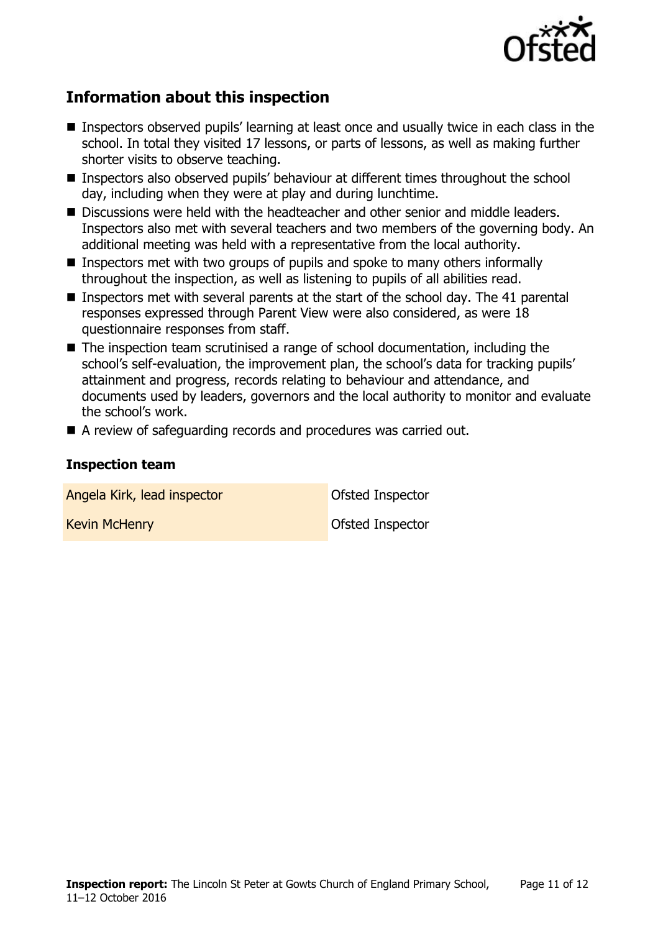

# **Information about this inspection**

- Inspectors observed pupils' learning at least once and usually twice in each class in the school. In total they visited 17 lessons, or parts of lessons, as well as making further shorter visits to observe teaching.
- Inspectors also observed pupils' behaviour at different times throughout the school day, including when they were at play and during lunchtime.
- Discussions were held with the headteacher and other senior and middle leaders. Inspectors also met with several teachers and two members of the governing body. An additional meeting was held with a representative from the local authority.
- **Inspectors met with two groups of pupils and spoke to many others informally** throughout the inspection, as well as listening to pupils of all abilities read.
- Inspectors met with several parents at the start of the school day. The 41 parental responses expressed through Parent View were also considered, as were 18 questionnaire responses from staff.
- The inspection team scrutinised a range of school documentation, including the school's self-evaluation, the improvement plan, the school's data for tracking pupils' attainment and progress, records relating to behaviour and attendance, and documents used by leaders, governors and the local authority to monitor and evaluate the school's work.
- A review of safeguarding records and procedures was carried out.

#### **Inspection team**

| Angela Kirk, lead inspector | <b>Ofsted Inspector</b> |
|-----------------------------|-------------------------|
| <b>Kevin McHenry</b>        | Ofsted Inspector        |